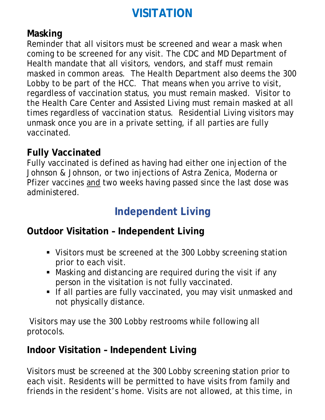# **VISITATION**

### **Masking**

Reminder that all visitors must be screened and wear a mask when coming to be screened for any visit. The CDC and MD Department of Health mandate that all visitors, vendors, and staff must remain masked in common areas. The Health Department also deems the 300 Lobby to be part of the HCC. That means when you arrive to visit, regardless of vaccination status, you must remain masked. Visitor to the Health Care Center and Assisted Living must remain masked at all times regardless of vaccination status. Residential Living visitors may unmask once you are in a private setting, if all parties are fully vaccinated.

### **Fully Vaccinated**

Fully vaccinated is defined as having had either one injection of the Johnson & Johnson, or two injections of Astra Zenica, Moderna or Pfizer vaccines and two weeks having passed since the last dose was administered.

# **Independent Living**

## **Outdoor Visitation – Independent Living**

- Visitors must be screened at the 300 Lobby screening station prior to each visit.
- Masking and distancing are required during the visit if any person in the visitation is not fully vaccinated.
- If all parties are fully vaccinated, you may visit unmasked and not physically distance.

 Visitors may use the 300 Lobby restrooms while following all protocols.

## **Indoor Visitation – Independent Living**

Visitors must be screened at the 300 Lobby screening station prior to each visit. Residents will be permitted to have visits from family and friends in the resident's home. Visits are not allowed, at this time, in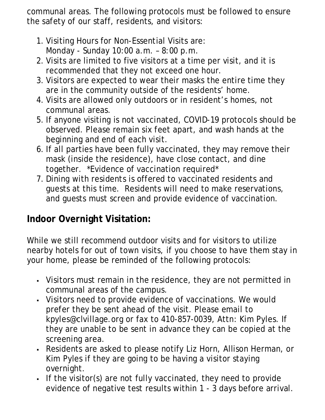communal areas. The following protocols must be followed to ensure the safety of our staff, residents, and visitors:

- 1. Visiting Hours for Non-Essential Visits are: Monday - Sunday 10:00 a.m. – 8:00 p.m.
- 2. Visits are limited to five visitors at a time per visit, and it is recommended that they not exceed one hour.
- 3. Visitors are expected to wear their masks the entire time they are in the community outside of the residents' home.
- 4. Visits are allowed only outdoors or in resident's homes, not communal areas.
- 5. If anyone visiting is not vaccinated, COVID-19 protocols should be observed. Please remain six feet apart, and wash hands at the beginning and end of each visit.
- 6. If all parties have been fully vaccinated, they may remove their mask (inside the residence), have close contact, and dine together. \*Evidence of vaccination required\*
- 7. Dining with residents is offered to vaccinated residents and guests at this time. Residents will need to make reservations, and guests must screen and provide evidence of vaccination.

# **Indoor Overnight Visitation:**

While we still recommend outdoor visits and for visitors to utilize nearby hotels for out of town visits, if you choose to have them stay in your home, please be reminded of the following protocols:

- Visitors must remain in the residence, they are not permitted in communal areas of the campus.
- Visitors need to provide evidence of vaccinations. We would prefer they be sent ahead of the visit. Please email to kpyles@clvillage.org or fax to 410-857-0039, Attn: Kim Pyles. If they are unable to be sent in advance they can be copied at the screening area.
- Residents are asked to please notify Liz Horn, Allison Herman, or Kim Pyles if they are going to be having a visitor staying overnight.
- If the visitor(s) are not fully vaccinated, they need to provide evidence of negative test results within 1 - 3 days before arrival.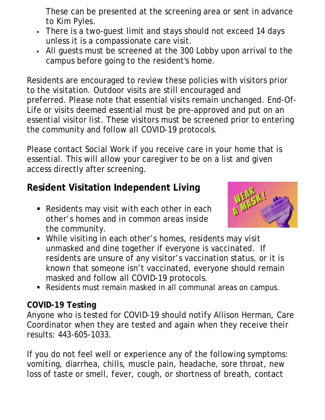These can be presented at the screening area or sent in advance to Kim Pyles.

- There is a two-guest limit and stays should not exceed 14 days unless it is a compassionate care visit.
- All guests must be screened at the 300 Lobby upon arrival to the campus before going to the resident's home.

Residents are encouraged to review these policies with visitors prior to the visitation. Outdoor visits are still encouraged and preferred. Please note that essential visits remain unchanged. End-Of-Life or visits deemed essential must be pre-approved and put on an essential visitor list. These visitors must be screened prior to entering the community and follow all COVID-19 protocols.

Please contact Social Work if you receive care in your home that is essential. This will allow your caregiver to be on a list and given access directly after screening.

# **Resident Visitation Independent Living**

**Residents may visit with each other in each** other's homes and in common areas inside the community.



- While visiting in each other's homes, residents may visit unmasked and dine together if everyone is vaccinated. If residents are unsure of any visitor's vaccination status, or it is known that someone isn't vaccinated, everyone should remain masked and follow all COVID-19 protocols.
- Residents must remain masked in all communal areas on campus.

#### **COVID-19 Testing**

Anyone who is tested for COVID-19 should notify Allison Herman, Care Coordinator when they are tested and again when they receive their results: 443-605-1033.

If you do not feel well or experience any of the following symptoms: vomiting, diarrhea, chills, muscle pain, headache, sore throat, new loss of taste or smell, fever, cough, or shortness of breath, contact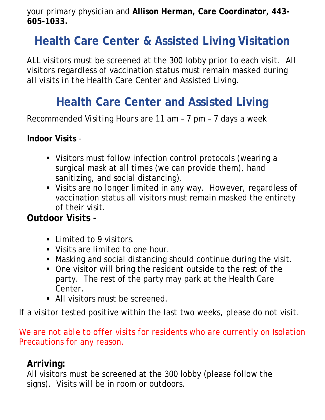your primary physician and **Allison Herman, Care Coordinator, 443- 605-1033.**

# **Health Care Center & Assisted Living Visitation**

*ALL visitors must be screened at the 300 lobby prior to each visit. All visitors regardless of vaccination status must remain masked during all visits in the Health Care Center and Assisted Living.* 

# **Health Care Center and Assisted Living**

*Recommended Visiting Hours are 11 am – 7 pm – 7 days a week* 

**Indoor Visits** -

- Visitors must follow infection control protocols (wearing a surgical mask at all times (we can provide them), hand sanitizing, and social distancing).
- Visits are no longer limited in any way. However, regardless of vaccination status all visitors must remain masked the entirety of their visit.

# **Outdoor Visits -**

- **Limited to 9 visitors.**
- Visits are limited to one hour.
- Masking and social distancing should continue during the visit.
- One visitor will bring the resident outside to the rest of the party. The rest of the party may park at the Health Care Center.
- All visitors must be screened.

*If a visitor tested positive within the last two weeks, please do not visit.*

We are not able to offer visits for residents who are currently on Isolation *Precautions for any reason.*

### **Arriving:**

All visitors must be screened at the 300 lobby (please follow the signs). Visits will be in room or outdoors.